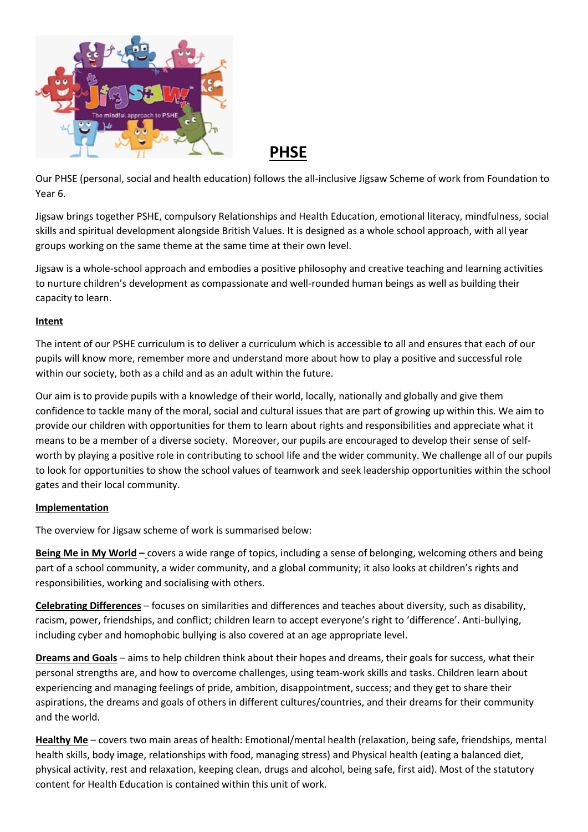

 **PHSE**

Our PHSE (personal, social and health education) follows the all-inclusive Jigsaw Scheme of work from Foundation to Year 6.

Jigsaw brings together PSHE, compulsory Relationships and Health Education, emotional literacy, mindfulness, social skills and spiritual development alongside British Values. It is designed as a whole school approach, with all year groups working on the same theme at the same time at their own level.

Jigsaw is a whole-school approach and embodies a positive philosophy and creative teaching and learning activities to nurture children's development as compassionate and well-rounded human beings as well as building their capacity to learn.

## **Intent**

The intent of our PSHE curriculum is to deliver a curriculum which is accessible to all and ensures that each of our pupils will know more, remember more and understand more about how to play a positive and successful role within our society, both as a child and as an adult within the future.

Our aim is to provide pupils with a knowledge of their world, locally, nationally and globally and give them confidence to tackle many of the moral, social and cultural issues that are part of growing up within this. We aim to provide our children with opportunities for them to learn about rights and responsibilities and appreciate what it means to be a member of a diverse society. Moreover, our pupils are encouraged to develop their sense of selfworth by playing a positive role in contributing to school life and the wider community. We challenge all of our pupils to look for opportunities to show the school values of teamwork and seek leadership opportunities within the school gates and their local community.

## **Implementation**

The overview for Jigsaw scheme of work is summarised below:

**Being Me in My World –** covers a wide range of topics, including a sense of belonging, welcoming others and being part of a school community, a wider community, and a global community; it also looks at children's rights and responsibilities, working and socialising with others.

**Celebrating Differences** – focuses on similarities and differences and teaches about diversity, such as disability, racism, power, friendships, and conflict; children learn to accept everyone's right to 'difference'. Anti-bullying, including cyber and homophobic bullying is also covered at an age appropriate level.

**Dreams and Goals** – aims to help children think about their hopes and dreams, their goals for success, what their personal strengths are, and how to overcome challenges, using team-work skills and tasks. Children learn about experiencing and managing feelings of pride, ambition, disappointment, success; and they get to share their aspirations, the dreams and goals of others in different cultures/countries, and their dreams for their community and the world.

**Healthy Me** – covers two main areas of health: Emotional/mental health (relaxation, being safe, friendships, mental health skills, body image, relationships with food, managing stress) and Physical health (eating a balanced diet, physical activity, rest and relaxation, keeping clean, drugs and alcohol, being safe, first aid). Most of the statutory content for Health Education is contained within this unit of work.